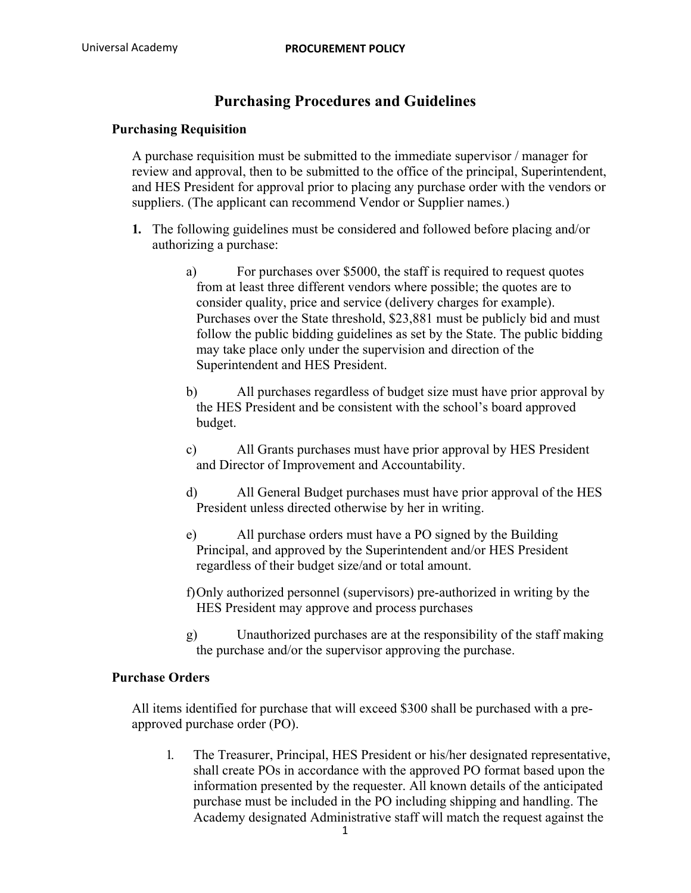# **Purchasing Procedures and Guidelines**

## **Purchasing Requisition**

A purchase requisition must be submitted to the immediate supervisor / manager for review and approval, then to be submitted to the office of the principal, Superintendent, and HES President for approval prior to placing any purchase order with the vendors or suppliers. (The applicant can recommend Vendor or Supplier names.)

- **1.** The following guidelines must be considered and followed before placing and/or authorizing a purchase:
	- a) For purchases over \$5000, the staff is required to request quotes from at least three different vendors where possible; the quotes are to consider quality, price and service (delivery charges for example). Purchases over the State threshold, \$23,881 must be publicly bid and must follow the public bidding guidelines as set by the State. The public bidding may take place only under the supervision and direction of the Superintendent and HES President.
	- b) All purchases regardless of budget size must have prior approval by the HES President and be consistent with the school's board approved budget.
	- c) All Grants purchases must have prior approval by HES President and Director of Improvement and Accountability.
	- d) All General Budget purchases must have prior approval of the HES President unless directed otherwise by her in writing.
	- e) All purchase orders must have a PO signed by the Building Principal, and approved by the Superintendent and/or HES President regardless of their budget size/and or total amount.
	- f)Only authorized personnel (supervisors) pre-authorized in writing by the HES President may approve and process purchases
	- g) Unauthorized purchases are at the responsibility of the staff making the purchase and/or the supervisor approving the purchase.

## **Purchase Orders**

All items identified for purchase that will exceed \$300 shall be purchased with a preapproved purchase order (PO).

1. The Treasurer, Principal, HES President or his/her designated representative, shall create POs in accordance with the approved PO format based upon the information presented by the requester. All known details of the anticipated purchase must be included in the PO including shipping and handling. The Academy designated Administrative staff will match the request against the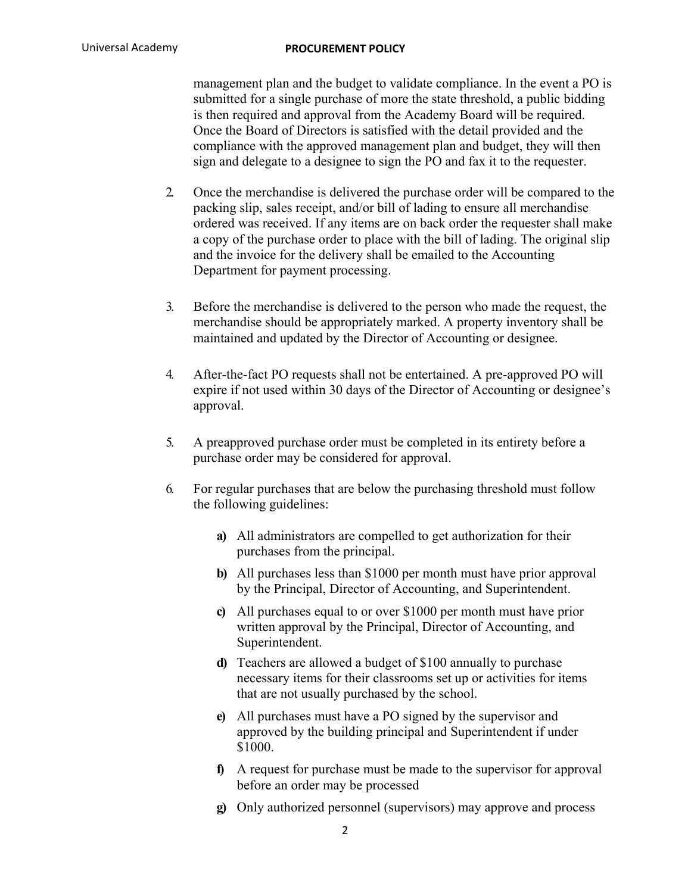management plan and the budget to validate compliance. In the event a PO is submitted for a single purchase of more the state threshold, a public bidding is then required and approval from the Academy Board will be required. Once the Board of Directors is satisfied with the detail provided and the compliance with the approved management plan and budget, they will then sign and delegate to a designee to sign the PO and fax it to the requester.

- 2. Once the merchandise is delivered the purchase order will be compared to the packing slip, sales receipt, and/or bill of lading to ensure all merchandise ordered was received. If any items are on back order the requester shall make a copy of the purchase order to place with the bill of lading. The original slip and the invoice for the delivery shall be emailed to the Accounting Department for payment processing.
- 3. Before the merchandise is delivered to the person who made the request, the merchandise should be appropriately marked. A property inventory shall be maintained and updated by the Director of Accounting or designee.
- 4. After-the-fact PO requests shall not be entertained. A pre-approved PO will expire if not used within 30 days of the Director of Accounting or designee's approval.
- 5. A preapproved purchase order must be completed in its entirety before a purchase order may be considered for approval.
- 6. For regular purchases that are below the purchasing threshold must follow the following guidelines:
	- **a)** All administrators are compelled to get authorization for their purchases from the principal.
	- **b)** All purchases less than \$1000 per month must have prior approval by the Principal, Director of Accounting, and Superintendent.
	- **c)** All purchases equal to or over \$1000 per month must have prior written approval by the Principal, Director of Accounting, and Superintendent.
	- **d)** Teachers are allowed a budget of \$100 annually to purchase necessary items for their classrooms set up or activities for items that are not usually purchased by the school.
	- **e)** All purchases must have a PO signed by the supervisor and approved by the building principal and Superintendent if under \$1000.
	- **f)** A request for purchase must be made to the supervisor for approval before an order may be processed
	- **g)** Only authorized personnel (supervisors) may approve and process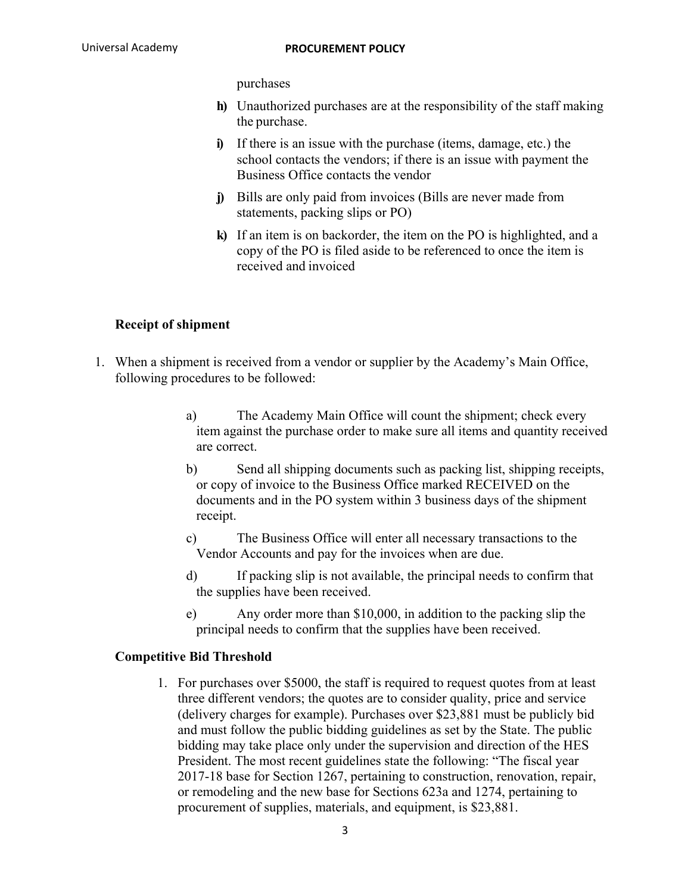purchases

- **h)** Unauthorized purchases are at the responsibility of the staff making the purchase.
- **i)** If there is an issue with the purchase (items, damage, etc.) the school contacts the vendors; if there is an issue with payment the Business Office contacts the vendor
- **j)** Bills are only paid from invoices (Bills are never made from statements, packing slips or PO)
- **k)** If an item is on backorder, the item on the PO is highlighted, and a copy of the PO is filed aside to be referenced to once the item is received and invoiced

## **Receipt of shipment**

- 1. When a shipment is received from a vendor or supplier by the Academy's Main Office, following procedures to be followed:
	- a) The Academy Main Office will count the shipment; check every item against the purchase order to make sure all items and quantity received are correct.
	- b) Send all shipping documents such as packing list, shipping receipts, or copy of invoice to the Business Office marked RECEIVED on the documents and in the PO system within 3 business days of the shipment receipt.
	- c) The Business Office will enter all necessary transactions to the Vendor Accounts and pay for the invoices when are due.
	- d) If packing slip is not available, the principal needs to confirm that the supplies have been received.
	- e) Any order more than \$10,000, in addition to the packing slip the principal needs to confirm that the supplies have been received.

## **Competitive Bid Threshold**

1. For purchases over \$5000, the staff is required to request quotes from at least three different vendors; the quotes are to consider quality, price and service (delivery charges for example). Purchases over \$23,881 must be publicly bid and must follow the public bidding guidelines as set by the State. The public bidding may take place only under the supervision and direction of the HES President. The most recent guidelines state the following: "The fiscal year 2017-18 base for Section 1267, pertaining to construction, renovation, repair, or remodeling and the new base for Sections 623a and 1274, pertaining to procurement of supplies, materials, and equipment, is \$23,881.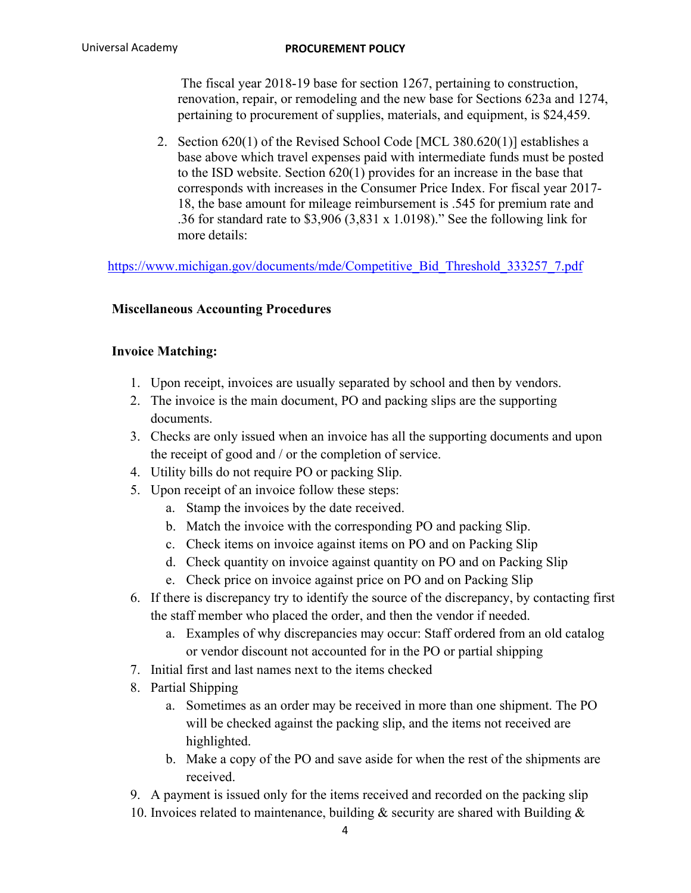The fiscal year 2018-19 base for section 1267, pertaining to construction, renovation, repair, or remodeling and the new base for Sections 623a and 1274, pertaining to procurement of supplies, materials, and equipment, is \$24,459.

2. Section 620(1) of the Revised School Code [MCL 380.620(1)] establishes a base above which travel expenses paid with intermediate funds must be posted to the ISD website. Section 620(1) provides for an increase in the base that corresponds with increases in the Consumer Price Index. For fiscal year 2017- 18, the base amount for mileage reimbursement is .545 for premium rate and .36 for standard rate to \$3,906 (3,831 x 1.0198)." See the following link for more details:

https://www.michigan.gov/documents/mde/Competitive\_Bid\_Threshold\_333257\_7.pdf

## **Miscellaneous Accounting Procedures**

## **Invoice Matching:**

- 1. Upon receipt, invoices are usually separated by school and then by vendors.
- 2. The invoice is the main document, PO and packing slips are the supporting documents.
- 3. Checks are only issued when an invoice has all the supporting documents and upon the receipt of good and / or the completion of service.
- 4. Utility bills do not require PO or packing Slip.
- 5. Upon receipt of an invoice follow these steps:
	- a. Stamp the invoices by the date received.
	- b. Match the invoice with the corresponding PO and packing Slip.
	- c. Check items on invoice against items on PO and on Packing Slip
	- d. Check quantity on invoice against quantity on PO and on Packing Slip
	- e. Check price on invoice against price on PO and on Packing Slip
- 6. If there is discrepancy try to identify the source of the discrepancy, by contacting first the staff member who placed the order, and then the vendor if needed.
	- a. Examples of why discrepancies may occur: Staff ordered from an old catalog or vendor discount not accounted for in the PO or partial shipping
- 7. Initial first and last names next to the items checked
- 8. Partial Shipping
	- a. Sometimes as an order may be received in more than one shipment. The PO will be checked against the packing slip, and the items not received are highlighted.
	- b. Make a copy of the PO and save aside for when the rest of the shipments are received.

9. A payment is issued only for the items received and recorded on the packing slip

10. Invoices related to maintenance, building  $\&$  security are shared with Building  $\&$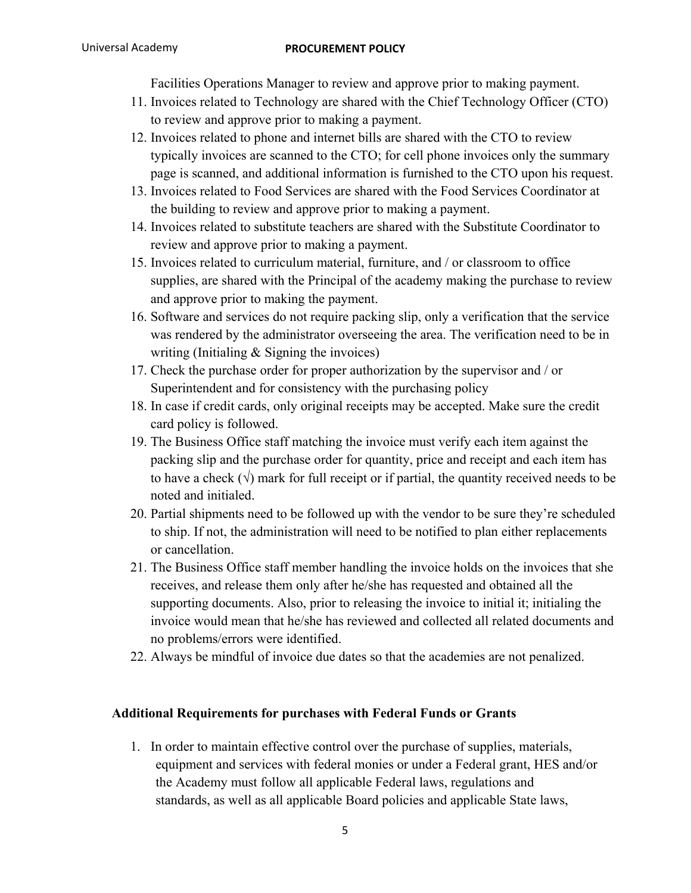Facilities Operations Manager to review and approve prior to making payment.

- 11. Invoices related to Technology are shared with the Chief Technology Officer (CTO) to review and approve prior to making a payment.
- 12. Invoices related to phone and internet bills are shared with the CTO to review typically invoices are scanned to the CTO; for cell phone invoices only the summary page is scanned, and additional information is furnished to the CTO upon his request.
- 13. Invoices related to Food Services are shared with the Food Services Coordinator at the building to review and approve prior to making a payment.
- 14. Invoices related to substitute teachers are shared with the Substitute Coordinator to review and approve prior to making a payment.
- 15. Invoices related to curriculum material, furniture, and / or classroom to office supplies, are shared with the Principal of the academy making the purchase to review and approve prior to making the payment.
- 16. Software and services do not require packing slip, only a verification that the service was rendered by the administrator overseeing the area. The verification need to be in writing (Initialing & Signing the invoices)
- 17. Check the purchase order for proper authorization by the supervisor and / or Superintendent and for consistency with the purchasing policy
- 18. In case if credit cards, only original receipts may be accepted. Make sure the credit card policy is followed.
- 19. The Business Office staff matching the invoice must verify each item against the packing slip and the purchase order for quantity, price and receipt and each item has to have a check  $(\sqrt{})$  mark for full receipt or if partial, the quantity received needs to be noted and initialed.
- 20. Partial shipments need to be followed up with the vendor to be sure they're scheduled to ship. If not, the administration will need to be notified to plan either replacements or cancellation.
- 21. The Business Office staff member handling the invoice holds on the invoices that she receives, and release them only after he/she has requested and obtained all the supporting documents. Also, prior to releasing the invoice to initial it; initialing the invoice would mean that he/she has reviewed and collected all related documents and no problems/errors were identified.
- 22. Always be mindful of invoice due dates so that the academies are not penalized.

## **Additional Requirements for purchases with Federal Funds or Grants**

1. In order to maintain effective control over the purchase of supplies, materials, equipment and services with federal monies or under a Federal grant, HES and/or the Academy must follow all applicable Federal laws, regulations and standards, as well as all applicable Board policies and applicable State laws,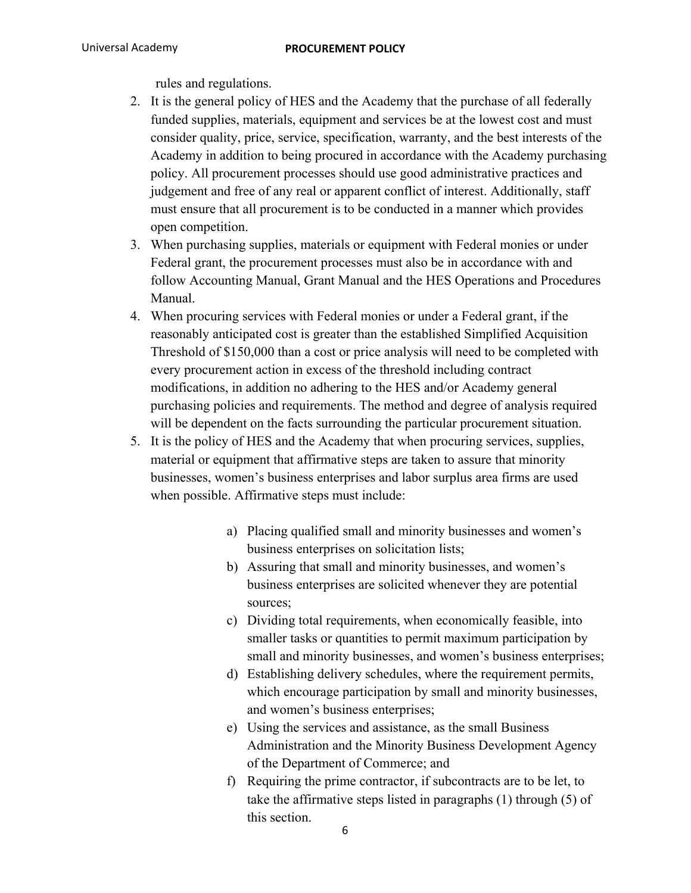rules and regulations.

- 2. It is the general policy of HES and the Academy that the purchase of all federally funded supplies, materials, equipment and services be at the lowest cost and must consider quality, price, service, specification, warranty, and the best interests of the Academy in addition to being procured in accordance with the Academy purchasing policy. All procurement processes should use good administrative practices and judgement and free of any real or apparent conflict of interest. Additionally, staff must ensure that all procurement is to be conducted in a manner which provides open competition.
- 3. When purchasing supplies, materials or equipment with Federal monies or under Federal grant, the procurement processes must also be in accordance with and follow Accounting Manual, Grant Manual and the HES Operations and Procedures Manual.
- 4. When procuring services with Federal monies or under a Federal grant, if the reasonably anticipated cost is greater than the established Simplified Acquisition Threshold of \$150,000 than a cost or price analysis will need to be completed with every procurement action in excess of the threshold including contract modifications, in addition no adhering to the HES and/or Academy general purchasing policies and requirements. The method and degree of analysis required will be dependent on the facts surrounding the particular procurement situation.
- 5. It is the policy of HES and the Academy that when procuring services, supplies, material or equipment that affirmative steps are taken to assure that minority businesses, women's business enterprises and labor surplus area firms are used when possible. Affirmative steps must include:
	- a) Placing qualified small and minority businesses and women's business enterprises on solicitation lists;
	- b) Assuring that small and minority businesses, and women's business enterprises are solicited whenever they are potential sources;
	- c) Dividing total requirements, when economically feasible, into smaller tasks or quantities to permit maximum participation by small and minority businesses, and women's business enterprises;
	- d) Establishing delivery schedules, where the requirement permits, which encourage participation by small and minority businesses, and women's business enterprises;
	- e) Using the services and assistance, as the small Business Administration and the Minority Business Development Agency of the Department of Commerce; and
	- f) Requiring the prime contractor, if subcontracts are to be let, to take the affirmative steps listed in paragraphs (1) through (5) of this section.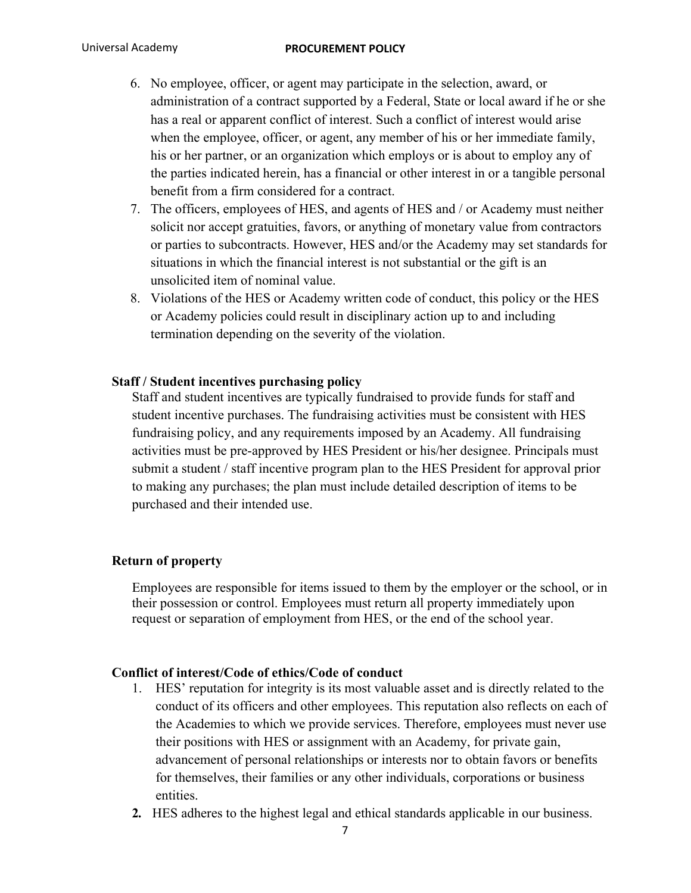- 6. No employee, officer, or agent may participate in the selection, award, or administration of a contract supported by a Federal, State or local award if he or she has a real or apparent conflict of interest. Such a conflict of interest would arise when the employee, officer, or agent, any member of his or her immediate family, his or her partner, or an organization which employs or is about to employ any of the parties indicated herein, has a financial or other interest in or a tangible personal benefit from a firm considered for a contract.
- 7. The officers, employees of HES, and agents of HES and / or Academy must neither solicit nor accept gratuities, favors, or anything of monetary value from contractors or parties to subcontracts. However, HES and/or the Academy may set standards for situations in which the financial interest is not substantial or the gift is an unsolicited item of nominal value.
- 8. Violations of the HES or Academy written code of conduct, this policy or the HES or Academy policies could result in disciplinary action up to and including termination depending on the severity of the violation.

#### **Staff / Student incentives purchasing policy**

Staff and student incentives are typically fundraised to provide funds for staff and student incentive purchases. The fundraising activities must be consistent with HES fundraising policy, and any requirements imposed by an Academy. All fundraising activities must be pre-approved by HES President or his/her designee. Principals must submit a student / staff incentive program plan to the HES President for approval prior to making any purchases; the plan must include detailed description of items to be purchased and their intended use.

### **Return of property**

Employees are responsible for items issued to them by the employer or the school, or in their possession or control. Employees must return all property immediately upon request or separation of employment from HES, or the end of the school year.

### **Conflict of interest/Code of ethics/Code of conduct**

- 1. HES' reputation for integrity is its most valuable asset and is directly related to the conduct of its officers and other employees. This reputation also reflects on each of the Academies to which we provide services. Therefore, employees must never use their positions with HES or assignment with an Academy, for private gain, advancement of personal relationships or interests nor to obtain favors or benefits for themselves, their families or any other individuals, corporations or business entities.
- **2.** HES adheres to the highest legal and ethical standards applicable in our business.